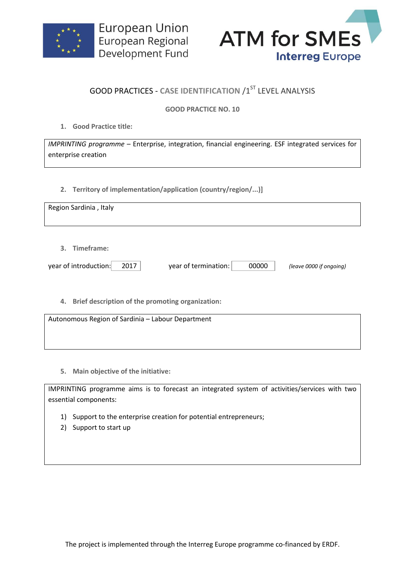



# **GOOD PRACTICES - CASE IDENTIFICATION /1ST LEVEL ANALYSIS**

## **GOOD PRACTICE NO. 10**

**1. Good Practice title:**

*IMPRINTING programme* – Enterprise, integration, financial engineering. ESF integrated services for enterprise creation

**2. Territory of implementation/application (country/region/...)]**

| Region Sardinia, Italy                         |                               |                         |
|------------------------------------------------|-------------------------------|-------------------------|
| 3. Timeframe:<br>year of introduction:<br>2017 | year of termination:<br>00000 | (leave 0000 if ongoing) |

**4. Brief description of the promoting organization:**

Autonomous Region of Sardinia – Labour Department

**5. Main objective of the initiative:**

IMPRINTING programme aims is to forecast an integrated system of activities/services with two essential components:

- 1) Support to the enterprise creation for potential entrepreneurs;
- 2) Support to start up